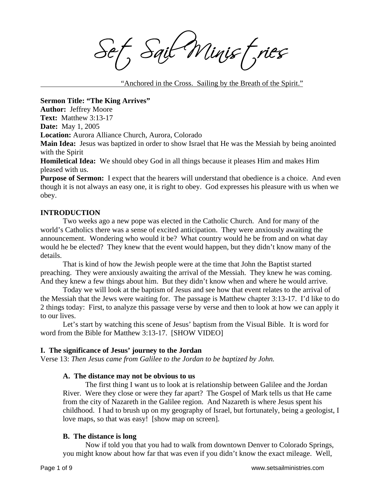Sail Minist, ries

"Anchored in the Cross. Sailing by the Breath of the Spirit."

**Sermon Title: "The King Arrives"** 

**Author:** Jeffrey Moore

**Text:** Matthew 3:13-17

**Date:** May 1, 2005

**Location:** Aurora Alliance Church, Aurora, Colorado

**Main Idea:** Jesus was baptized in order to show Israel that He was the Messiah by being anointed with the Spirit

**Homiletical Idea:** We should obey God in all things because it pleases Him and makes Him pleased with us.

**Purpose of Sermon:** I expect that the hearers will understand that obedience is a choice. And even though it is not always an easy one, it is right to obey. God expresses his pleasure with us when we obey.

# **INTRODUCTION**

 Two weeks ago a new pope was elected in the Catholic Church. And for many of the world's Catholics there was a sense of excited anticipation. They were anxiously awaiting the announcement. Wondering who would it be? What country would he be from and on what day would he be elected? They knew that the event would happen, but they didn't know many of the details.

 That is kind of how the Jewish people were at the time that John the Baptist started preaching. They were anxiously awaiting the arrival of the Messiah. They knew he was coming. And they knew a few things about him. But they didn't know when and where he would arrive.

 Today we will look at the baptism of Jesus and see how that event relates to the arrival of the Messiah that the Jews were waiting for. The passage is Matthew chapter 3:13-17. I'd like to do 2 things today: First, to analyze this passage verse by verse and then to look at how we can apply it to our lives.

 Let's start by watching this scene of Jesus' baptism from the Visual Bible. It is word for word from the Bible for Matthew 3:13-17. [SHOW VIDEO]

# **I. The significance of Jesus' journey to the Jordan**

Verse 13: *Then Jesus came from Galilee to the Jordan to be baptized by John.* 

# **A. The distance may not be obvious to us**

The first thing I want us to look at is relationship between Galilee and the Jordan River. Were they close or were they far apart? The Gospel of Mark tells us that He came from the city of Nazareth in the Galilee region. And Nazareth is where Jesus spent his childhood. I had to brush up on my geography of Israel, but fortunately, being a geologist, I love maps, so that was easy! [show map on screen].

# **B. The distance is long**

Now if told you that you had to walk from downtown Denver to Colorado Springs, you might know about how far that was even if you didn't know the exact mileage. Well,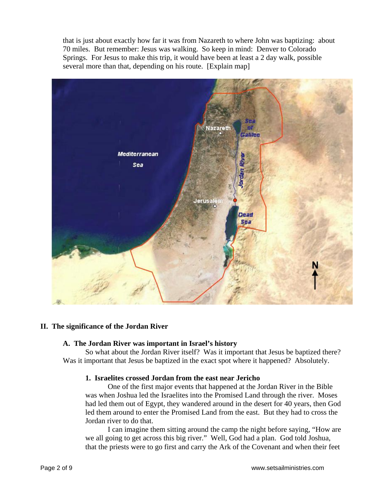that is just about exactly how far it was from Nazareth to where John was baptizing: about 70 miles. But remember: Jesus was walking. So keep in mind: Denver to Colorado Springs. For Jesus to make this trip, it would have been at least a 2 day walk, possible several more than that, depending on his route. [Explain map]



# **II. The significance of the Jordan River**

#### **A. The Jordan River was important in Israel's history**

So what about the Jordan River itself? Was it important that Jesus be baptized there? Was it important that Jesus be baptized in the exact spot where it happened? Absolutely.

#### **1. Israelites crossed Jordan from the east near Jericho**

One of the first major events that happened at the Jordan River in the Bible was when Joshua led the Israelites into the Promised Land through the river. Moses had led them out of Egypt, they wandered around in the desert for 40 years, then God led them around to enter the Promised Land from the east. But they had to cross the Jordan river to do that.

I can imagine them sitting around the camp the night before saying, "How are we all going to get across this big river." Well, God had a plan. God told Joshua, that the priests were to go first and carry the Ark of the Covenant and when their feet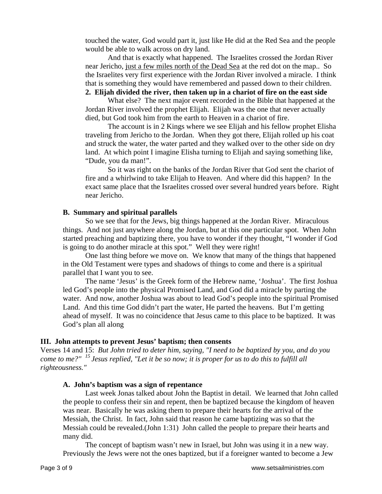touched the water, God would part it, just like He did at the Red Sea and the people would be able to walk across on dry land.

And that is exactly what happened. The Israelites crossed the Jordan River near Jericho, just a few miles north of the Dead Sea at the red dot on the map.. So the Israelites very first experience with the Jordan River involved a miracle. I think that is something they would have remembered and passed down to their children. **2. Elijah divided the river, then taken up in a chariot of fire on the east side**

What else? The next major event recorded in the Bible that happened at the Jordan River involved the prophet Elijah. Elijah was the one that never actually died, but God took him from the earth to Heaven in a chariot of fire.

The account is in 2 Kings where we see Elijah and his fellow prophet Elisha traveling from Jericho to the Jordan. When they got there, Elijah rolled up his coat and struck the water, the water parted and they walked over to the other side on dry land. At which point I imagine Elisha turning to Elijah and saying something like, "Dude, you da man!".

So it was right on the banks of the Jordan River that God sent the chariot of fire and a whirlwind to take Elijah to Heaven. And where did this happen? In the exact same place that the Israelites crossed over several hundred years before. Right near Jericho.

#### **B. Summary and spiritual parallels**

So we see that for the Jews, big things happened at the Jordan River. Miraculous things. And not just anywhere along the Jordan, but at this one particular spot. When John started preaching and baptizing there, you have to wonder if they thought, "I wonder if God is going to do another miracle at this spot." Well they were right!

One last thing before we move on. We know that many of the things that happened in the Old Testament were types and shadows of things to come and there is a spiritual parallel that I want you to see.

The name 'Jesus' is the Greek form of the Hebrew name, 'Joshua'. The first Joshua led God's people into the physical Promised Land, and God did a miracle by parting the water. And now, another Joshua was about to lead God's people into the spiritual Promised Land. And this time God didn't part the water, He parted the heavens. But I'm getting ahead of myself. It was no coincidence that Jesus came to this place to be baptized. It was God's plan all along

#### **III. John attempts to prevent Jesus' baptism; then consents**

Verses 14 and 15: *But John tried to deter him, saying, "I need to be baptized by you, and do you come to me?" 15 Jesus replied, "Let it be so now; it is proper for us to do this to fulfill all righteousness."* 

#### **A. John's baptism was a sign of repentance**

Last week Jonas talked about John the Baptist in detail. We learned that John called the people to confess their sin and repent, then be baptized because the kingdom of heaven was near. Basically he was asking them to prepare their hearts for the arrival of the Messiah, the Christ. In fact, John said that reason he came baptizing was so that the Messiah could be revealed.(John 1:31) John called the people to prepare their hearts and many did.

The concept of baptism wasn't new in Israel, but John was using it in a new way. Previously the Jews were not the ones baptized, but if a foreigner wanted to become a Jew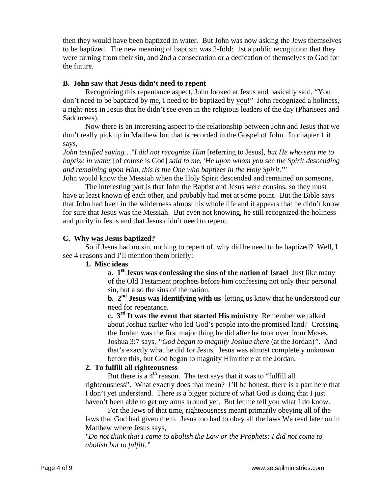then they would have been baptized in water. But John was now asking the Jews themselves to be baptized. The new meaning of baptism was 2-fold: 1st a public recognition that they were turning from their sin, and 2nd a consecration or a dedication of themselves to God for the future.

### **B. John saw that Jesus didn't need to repent**

Recognizing this repentance aspect, John looked at Jesus and basically said, "You don't need to be baptized by me, I need to be baptized by you!" John recognized a holiness, a right-ness in Jesus that he didn't see even in the religious leaders of the day (Pharisees and Sadducees).

Now there is an interesting aspect to the relationship between John and Jesus that we don't really pick up in Matthew but that is recorded in the Gospel of John. In chapter 1 it says,

*John testified saying…"I did not recognize Him* [referring to Jesus], *but He who sent me to baptize in water* [of course is God] *said to me, 'He upon whom you see the Spirit descending and remaining upon Him, this is the One who baptizes in the Holy Spirit.'"*

John would know the Messiah when the Holy Spirit descended and remained on someone.

The interesting part is that John the Baptist and Jesus were cousins, so they must have at least known of each other, and probably had met at some point. But the Bible says that John had been in the wilderness almost his whole life and it appears that he didn't know for sure that Jesus was the Messiah. But even not knowing, he still recognized the holiness and purity in Jesus and that Jesus didn't need to repent.

# **C. Why was Jesus baptized?**

So if Jesus had no sin, nothing to repent of, why did he need to be baptized? Well, I see 4 reasons and I'll mention them briefly:

# **1. Misc ideas**

**a. 1st Jesus was confessing the sins of the nation of Israel** Just like many of the Old Testament prophets before him confessing not only their personal sin, but also the sins of the nation.

**b.**  $2^{nd}$  **Jesus was identifying with us** letting us know that he understood our need for repentance.

**c. 3rd It was the event that started His ministry** Remember we talked about Joshua earlier who led God's people into the promised land? Crossing the Jordan was the first major thing he did after he took over from Moses. Joshua 3:7 says, *"God began to magnify Joshua there* (at the Jordan)*".* And that's exactly what he did for Jesus. Jesus was almost completely unknown before this, but God began to magnify Him there at the Jordan.

# **2. To fulfill all righteousness**

But there is a  $4<sup>th</sup>$  reason. The text says that it was to "fulfill all righteousness". What exactly does that mean? I'll be honest, there is a part here that I don't yet understand. There is a bigger picture of what God is doing that I just haven't been able to get my arms around yet. But let me tell you what I do know.

For the Jews of that time, righteousness meant primarily obeying all of the laws that God had given them. Jesus too had to obey all the laws We read later on in Matthew where Jesus says,

*"Do not think that I came to abolish the Law or the Prophets; I did not come to abolish but to fulfill."*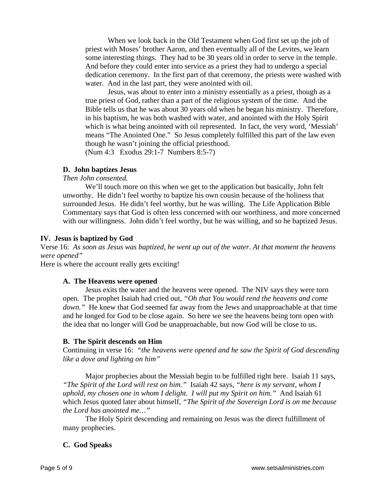When we look back in the Old Testament when God first set up the job of priest with Moses' brother Aaron, and then eventually all of the Levites, we learn some interesting things. They had to be 30 years old in order to serve in the temple. And before they could enter into service as a priest they had to undergo a special dedication ceremony. In the first part of that ceremony, the priests were washed with water. And in the last part, they were anointed with oil.

Jesus, was about to enter into a ministry essentially as a priest, though as a true priest of God, rather than a part of the religious system of the time. And the Bible tells us that he was about 30 years old when he began his ministry. Therefore, in his baptism, he was both washed with water, and anointed with the Holy Spirit which is what being anointed with oil represented. In fact, the very word, 'Messiah' means "The Anointed One." So Jesus completely fulfilled this part of the law even though he wasn't joining the official priesthood.

(Num 4:3 Exodus 29:1-7 Numbers 8:5-7)

### **D. John baptizes Jesus**

### *Then John consented.*

We'll touch more on this when we get to the application but basically, John felt unworthy. He didn't feel worthy to baptize his own cousin because of the holiness that surrounded Jesus. He didn't feel worthy, but he was willing. The Life Application Bible Commentary says that God is often less concerned with our worthiness, and more concerned with our willingness. John didn't feel worthy, but he was willing, and so he baptized Jesus.

#### **IV. Jesus is baptized by God**

Verse 16: *As soon as Jesus was baptized, he went up out of the water. At that moment the heavens were opened"* 

Here is where the account really gets exciting!

#### **A. The Heavens were opened**

Jesus exits the water and the heavens were opened. The NIV says they were torn open. The prophet Isaiah had cried out, *"Oh that You would rend the heavens and come down.*" He knew that God seemed far away from the Jews and unapproachable at that time and he longed for God to be close again. So here we see the heavens being torn open with the idea that no longer will God be unapproachable, but now God will be close to us.

#### **B. The Spirit descends on Him**

Continuing in verse 16: *"the heavens were opened and he saw the Spirit of God descending like a dove and lighting on him"* 

Major prophecies about the Messiah begin to be fulfilled right here. Isaiah 11 says, *"The Spirit of the Lord will rest on him."* Isaiah 42 says, *"here is my servant, whom I uphold, my chosen one in whom I delight. I will put my Spirit on him."* And Isaiah 61 which Jesus quoted later about himself, *"The Spirit of the Sovereign Lord is on me because the Lord has anointed me…"* 

The Holy Spirit descending and remaining on Jesus was the direct fulfillment of many prophecies.

#### **C. God Speaks**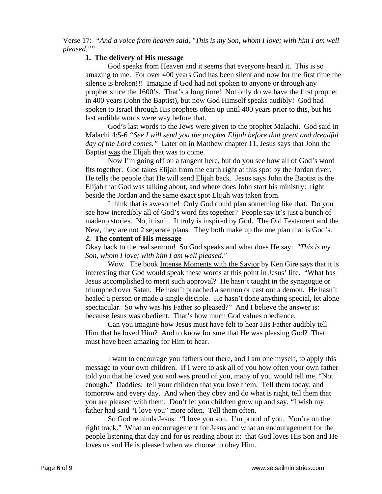Verse 17: *"And a voice from heaven said, "This is my Son, whom I love; with him I am well pleased.""*

### **1. The delivery of His message**

God speaks from Heaven and it seems that everyone heard it. This is so amazing to me. For over 400 years God has been silent and now for the first time the silence is broken!!! Imagine if God had not spoken to anyone or through any prophet since the 1600's. That's a long time! Not only do we have the first prophet in 400 years (John the Baptist), but now God Himself speaks audibly! God had spoken to Israel through His prophets often up until 400 years prior to this, but his last audible words were way before that.

God's last words to the Jews were given to the prophet Malachi. God said in Malachi 4:5-6 *"See I will send you the prophet Elijah before that great and dreadful day of the Lord comes."* Later on in Matthew chapter 11, Jesus says that John the Baptist was the Elijah that was to come.

Now I'm going off on a tangent here, but do you see how all of God's word fits together. God takes Elijah from the earth right at this spot by the Jordan river. He tells the people that He will send Elijah back. Jesus says John the Baptist is the Elijah that God was talking about, and where does John start his ministry: right beside the Jordan and the same exact spot Elijah was taken from.

I think that is awesome! Only God could plan something like that. Do you see how incredibly all of God's word fits together? People say it's just a bunch of madeup stories. No, it isn't. It truly is inspired by God. The Old Testament and the New, they are not 2 separate plans. They both make up the one plan that is God's.

# **2. The content of His message**

Okay back to the real sermon! So God speaks and what does He say: *"This is my Son, whom I love; with him I am well pleased."*

Wow. The book Intense Moments with the Savior by Ken Gire says that it is interesting that God would speak these words at this point in Jesus' life. "What has Jesus accomplished to merit such approval? He hasn't taught in the synagogue or triumphed over Satan. He hasn't preached a sermon or cast out a demon. He hasn't healed a person or made a single disciple. He hasn't done anything special, let alone spectacular. So why was his Father so pleased?" And I believe the answer is: because Jesus was obedient. That's how much God values obedience.

Can you imagine how Jesus must have felt to hear His Father audibly tell Him that he loved Him? And to know for sure that He was pleasing God? That must have been amazing for Him to hear.

I want to encourage you fathers out there, and I am one myself, to apply this message to your own children. If I were to ask all of you how often your own father told you that he loved you and was proud of you, many of you would tell me, "Not enough." Daddies: tell your children that you love them. Tell them today, and tomorrow and every day. And when they obey and do what is right, tell them that you are pleased with them. Don't let you children grow up and say, "I wish my father had said "I love you" more often. Tell them often.

So God reminds Jesus: "I love you son. I'm proud of you. You're on the right track." What an encouragement for Jesus and what an encouragement for the people listening that day and for us reading about it: that God loves His Son and He loves us and He is pleased when we choose to obey Him.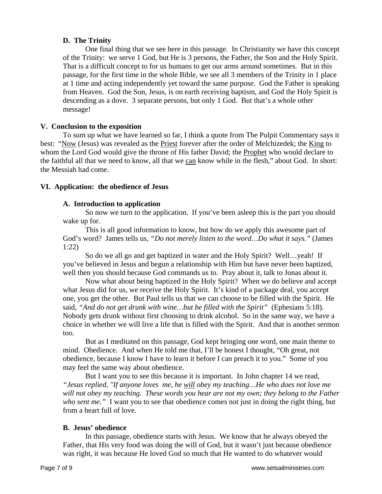# **D. The Trinity**

One final thing that we see here in this passage. In Christianity we have this concept of the Trinity: we serve 1 God, but He is 3 persons, the Father, the Son and the Holy Spirit. That is a difficult concept to for us humans to get our arms around sometimes. But in this passage, for the first time in the whole Bible, we see all 3 members of the Trinity in 1 place at 1 time and acting independently yet toward the same purpose. God the Father is speaking from Heaven. God the Son, Jesus, is on earth receiving baptism, and God the Holy Spirit is descending as a dove. 3 separate persons, but only 1 God. But that's a whole other message!

# **V. Conclusion to the exposition**

To sum up what we have learned so far, I think a quote from The Pulpit Commentary says it best: "Now (Jesus) was revealed as the Priest forever after the order of Melchizedek; the King to whom the Lord God would give the throne of His father David; the Prophet who would declare to the faithful all that we need to know, all that we can know while in the flesh," about God. In short: the Messiah had come.

# **VI. Application: the obedience of Jesus**

# **A. Introduction to application**

So now we turn to the application. If you've been asleep this is the part you should wake up for.

This is all good information to know, but how do we apply this awesome part of God's word? James tells us, *"Do not merely listen to the word…Do what it says."* (James 1:22)

So do we all go and get baptized in water and the Holy Spirit? Well…yeah! If you've believed in Jesus and begun a relationship with Him but have never been baptized, well then you should because God commands us to. Pray about it, talk to Jonas about it.

Now what about being baptized in the Holy Spirit? When we do believe and accept what Jesus did for us, we receive the Holy Spirit. It's kind of a package deal, you accept one, you get the other. But Paul tells us that we can choose to be filled with the Spirit. He said, *"And do not get drunk with wine…but be filled with the Spirit"* (Ephesians 5:18). Nobody gets drunk without first choosing to drink alcohol. So in the same way, we have a choice in whether we will live a life that is filled with the Spirit. And that is another sermon too.

But as I meditated on this passage, God kept bringing one word, one main theme to mind. Obedience. And when He told me that, I'll be honest I thought, "Oh great, not obedience, because I know I have to learn it before I can preach it to you." Some of you may feel the same way about obedience.

But I want you to see this because it is important. In John chapter 14 we read, *"Jesus replied, "If anyone loves me, he will obey my teaching…He who does not love me will not obey my teaching. These words you hear are not my own; they belong to the Father who sent me."* I want you to see that obedience comes not just in doing the right thing, but from a heart full of love.

# **B. Jesus' obedience**

In this passage, obedience starts with Jesus. We know that he always obeyed the Father, that His very food was doing the will of God, but it wasn't just because obedience was right, it was because He loved God so much that He wanted to do whatever would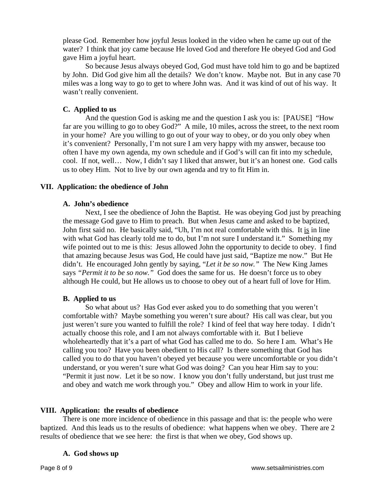please God. Remember how joyful Jesus looked in the video when he came up out of the water? I think that joy came because He loved God and therefore He obeyed God and God gave Him a joyful heart.

So because Jesus always obeyed God, God must have told him to go and be baptized by John. Did God give him all the details? We don't know. Maybe not. But in any case 70 miles was a long way to go to get to where John was. And it was kind of out of his way. It wasn't really convenient.

# **C. Applied to us**

And the question God is asking me and the question I ask you is: [PAUSE] "How far are you willing to go to obey God?" A mile, 10 miles, across the street, to the next room in your home? Are you willing to go out of your way to obey, or do you only obey when it's convenient? Personally, I'm not sure I am very happy with my answer, because too often I have my own agenda, my own schedule and if God's will can fit into my schedule, cool. If not, well… Now, I didn't say I liked that answer, but it's an honest one. God calls us to obey Him. Not to live by our own agenda and try to fit Him in.

# **VII. Application: the obedience of John**

# **A. John's obedience**

Next, I see the obedience of John the Baptist. He was obeying God just by preaching the message God gave to Him to preach. But when Jesus came and asked to be baptized, John first said no. He basically said, "Uh, I'm not real comfortable with this. It is in line with what God has clearly told me to do, but I'm not sure I understand it." Something my wife pointed out to me is this: Jesus allowed John the opportunity to decide to obey. I find that amazing because Jesus was God, He could have just said, "Baptize me now." But He didn't. He encouraged John gently by saying, "*Let it be so now."* The New King James says *"Permit it to be so now."* God does the same for us. He doesn't force us to obey although He could, but He allows us to choose to obey out of a heart full of love for Him.

# **B. Applied to us**

So what about us? Has God ever asked you to do something that you weren't comfortable with? Maybe something you weren't sure about? His call was clear, but you just weren't sure you wanted to fulfill the role? I kind of feel that way here today. I didn't actually choose this role, and I am not always comfortable with it. But I believe wholeheartedly that it's a part of what God has called me to do. So here I am. What's He calling you too? Have you been obedient to His call? Is there something that God has called you to do that you haven't obeyed yet because you were uncomfortable or you didn't understand, or you weren't sure what God was doing? Can you hear Him say to you: "Permit it just now. Let it be so now. I know you don't fully understand, but just trust me and obey and watch me work through you." Obey and allow Him to work in your life.

# **VIII. Application: the results of obedience**

There is one more incidence of obedience in this passage and that is: the people who were baptized. And this leads us to the results of obedience: what happens when we obey. There are 2 results of obedience that we see here: the first is that when we obey, God shows up.

# **A. God shows up**